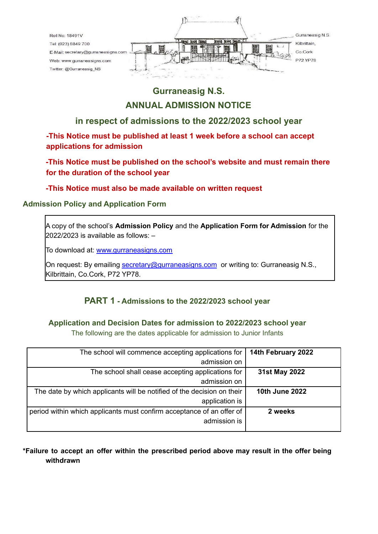

# **Gurraneasig N.S.**

## **ANNUAL ADMISSION NOTICE**

## **in respect of admissions to the 2022/2023 school year**

**-This Notice must be published at least 1 week before a school can accept applications for admission**

**-This Notice must be published on the school's website and must remain there for the duration of the school year**

**-This Notice must also be made available on written request**

#### **Admission Policy and Application Form**

A copy of the school's **Admission Policy** and the **Application Form for Admission** for the 2022/2023 is available as follows: –

To download at: www.gurraneasigns.com

On request: By emailing [secretary@gurraneasigns.com](mailto:secretary@gurraneasigns.com) or writing to: Gurraneasig N.S., Kilbrittain, Co.Cork, P72 YP78.

## **PART 1 - Admissions to the 2022/2023 school year**

### **Application and Decision Dates for admission to 2022/2023 school year**

The following are the dates applicable for admission to Junior Infants

| 14th February 2022    | The school will commence accepting applications for                    |
|-----------------------|------------------------------------------------------------------------|
|                       | admission on                                                           |
| 31st May 2022         | The school shall cease accepting applications for                      |
|                       | admission on                                                           |
| <b>10th June 2022</b> | The date by which applicants will be notified of the decision on their |
|                       | application is                                                         |
| 2 weeks               | period within which applicants must confirm acceptance of an offer of  |
|                       | admission is                                                           |
|                       |                                                                        |

### **\*Failure to accept an offer within the prescribed period above may result in the offer being withdrawn**